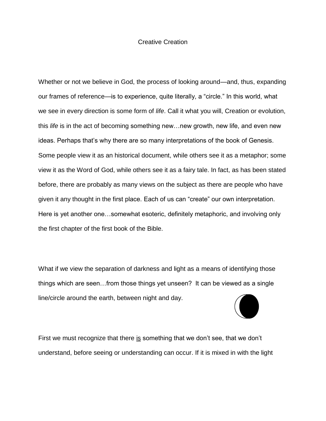## Creative Creation

Whether or not we believe in God, the process of looking around—and, thus, expanding our frames of reference—is to experience, quite literally, a "circle." In this world, what we see in every direction is some form of *life*. Call it what you will, Creation or evolution, this *life* is in the act of becoming something new…new growth, new life, and even new ideas. Perhaps that's why there are so many interpretations of the book of Genesis. Some people view it as an historical document, while others see it as a metaphor; some view it as the Word of God, while others see it as a fairy tale. In fact, as has been stated before, there are probably as many views on the subject as there are people who have given it any thought in the first place. Each of us can "create" our own interpretation. Here is yet another one…somewhat esoteric, definitely metaphoric, and involving only the first chapter of the first book of the Bible.

What if we view the separation of darkness and light as a means of identifying those things which are seen…from those things yet unseen? It can be viewed as a single line/circle around the earth, between night and day.



First we must recognize that there is something that we don't see, that we don't understand, before seeing or understanding can occur. If it is mixed in with the light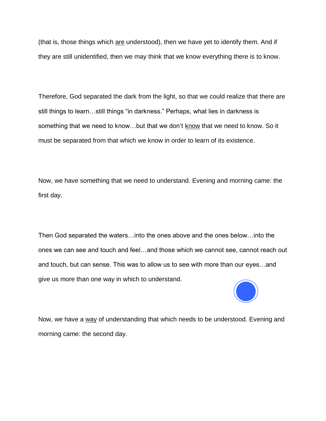(that is, those things which are understood), then we have yet to identify them. And if they are still unidentified, then we may think that we know everything there is to know.

Therefore, God separated the dark from the light, so that we could realize that there are still things to learn…still things "in darkness." Perhaps, what lies in darkness is something that we need to know…but that we don't know that we need to know. So it must be separated from that which we know in order to learn of its existence.

Now, we have something that we need to understand. Evening and morning came: the first day.

Then God separated the waters…into the ones above and the ones below…into the ones we can see and touch and feel…and those which we cannot see, cannot reach out and touch, but can sense. This was to allow us to see with more than our eyes…and give us more than one way in which to understand.



Now, we have a way of understanding that which needs to be understood. Evening and morning came: the second day.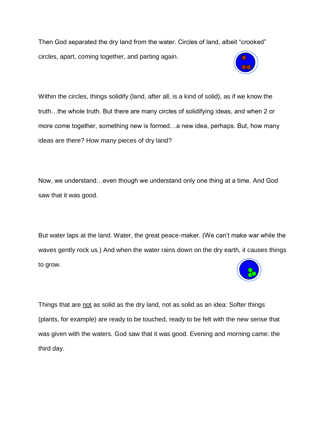Then God separated the dry land from the water. Circles of land, albeit "crooked" circles, apart, coming together, and parting again.



Within the circles, things solidify (land, after all, is a kind of solid), as if we know the truth…the whole truth. But there are many circles of solidifying ideas, and when 2 or more come together, something new is formed…a new idea, perhaps. But, how many ideas are there? How many pieces of dry land?

Now, we understand…even though we understand only one thing at a time. And God saw that it was good.

But water laps at the land. Water, the great peace-maker. (We can't make war while the waves gently rock us.) And when the water rains down on the dry earth, it causes things to grow.



Things that are not as solid as the dry land, not as solid as an idea: Softer things (plants, for example) are ready to be touched, ready to be felt with the new sense that was given with the waters. God saw that it was good. Evening and morning came: the third day.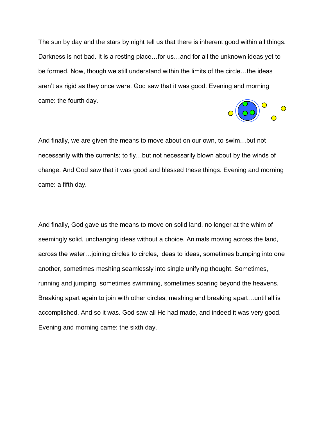The sun by day and the stars by night tell us that there is inherent good within all things. Darkness is not bad. It is a resting place…for us…and for all the unknown ideas yet to be formed. Now, though we still understand within the limits of the circle…the ideas aren't as rigid as they once were. God saw that it was good. Evening and morning came: the fourth day.



And finally, we are given the means to move about on our own, to swim…but not necessarily with the currents; to fly…but not necessarily blown about by the winds of change. And God saw that it was good and blessed these things. Evening and morning came: a fifth day.

And finally, God gave us the means to move on solid land, no longer at the whim of seemingly solid, unchanging ideas without a choice. Animals moving across the land, across the water…joining circles to circles, ideas to ideas, sometimes bumping into one another, sometimes meshing seamlessly into single unifying thought. Sometimes, running and jumping, sometimes swimming, sometimes soaring beyond the heavens. Breaking apart again to join with other circles, meshing and breaking apart…until all is accomplished. And so it was. God saw all He had made, and indeed it was very good. Evening and morning came: the sixth day.